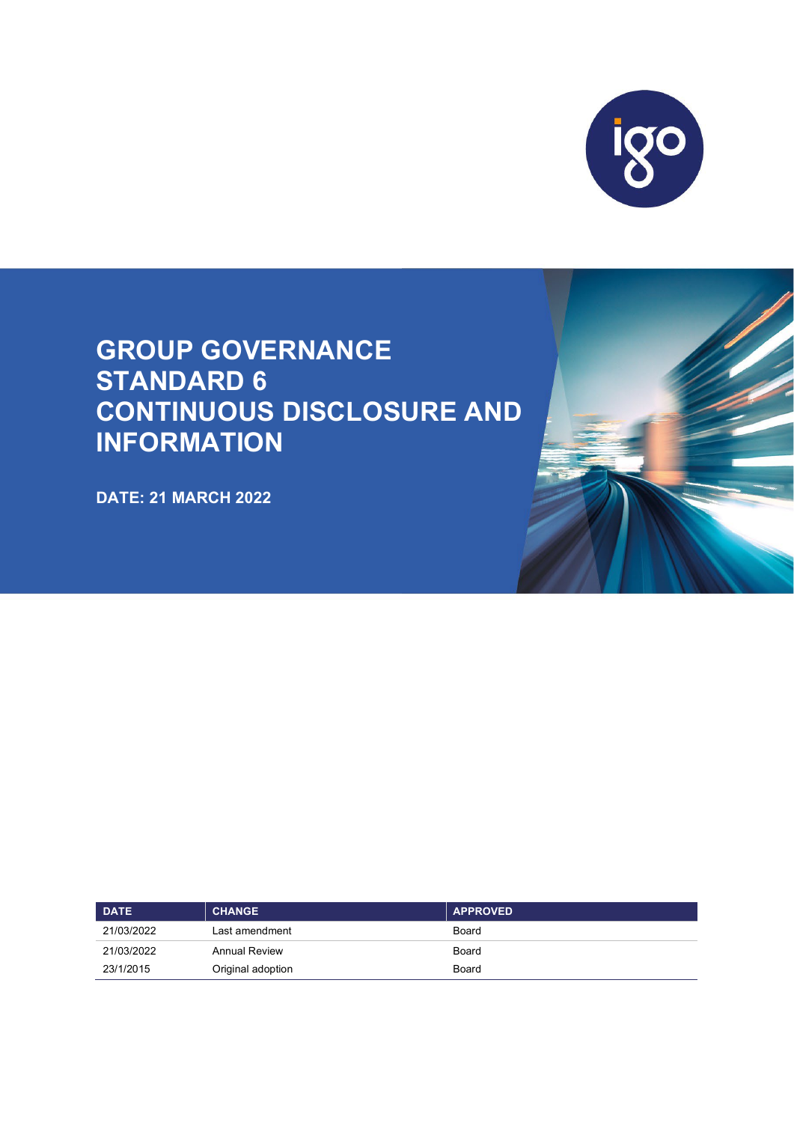

# **GROUP GOVERNANCE STANDARD 6 CONTINUOUS DISCLOSURE AND INFORMATION**

**DATE: 21 MARCH 2022** 



| <b>DATE</b> | <b>CHANGE</b>        | <b>APPROVED</b> |
|-------------|----------------------|-----------------|
| 21/03/2022  | Last amendment       | Board           |
| 21/03/2022  | <b>Annual Review</b> | Board           |
| 23/1/2015   | Original adoption    | Board           |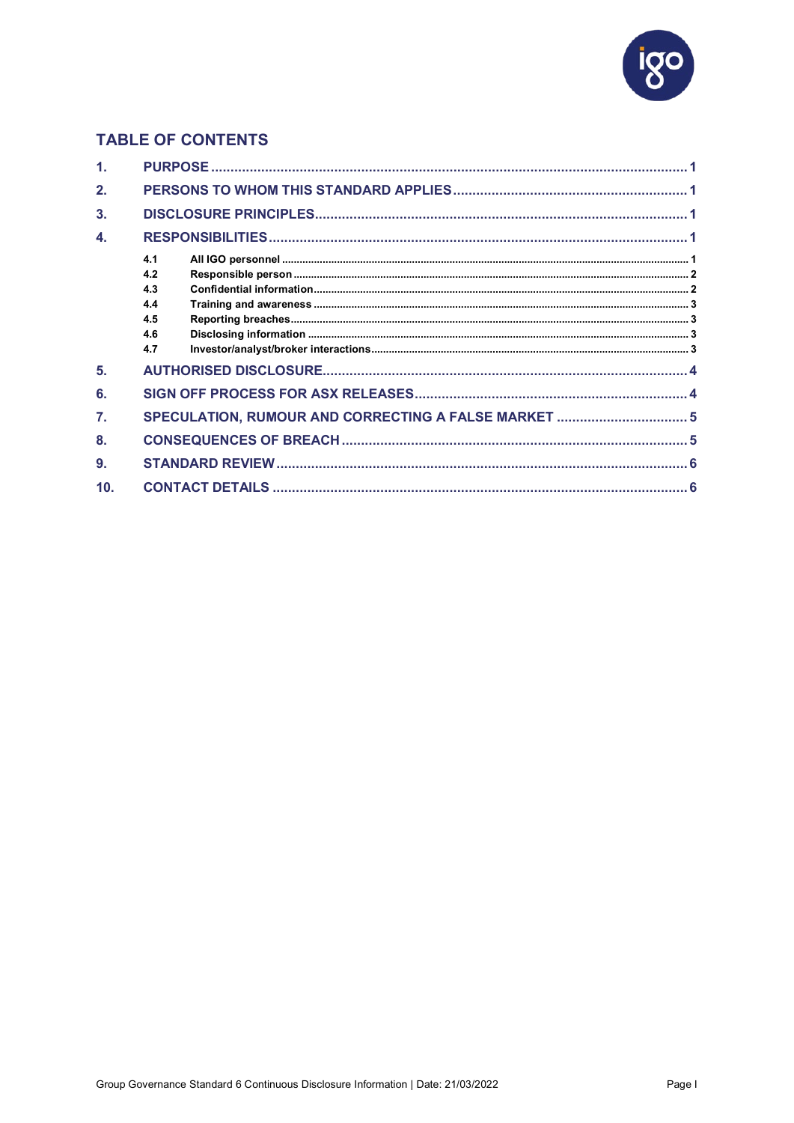

# **TABLE OF CONTENTS**

| $\mathbf{1}$ |                                               |  |
|--------------|-----------------------------------------------|--|
| 2.           |                                               |  |
| 3.           |                                               |  |
| 4.           |                                               |  |
|              | 4.1<br>4.2<br>4.3<br>4.4<br>4.5<br>4.6<br>4.7 |  |
| 5.           |                                               |  |
| 6.           |                                               |  |
| 7.           |                                               |  |
| 8.           |                                               |  |
| 9.           |                                               |  |
| 10.          |                                               |  |
|              |                                               |  |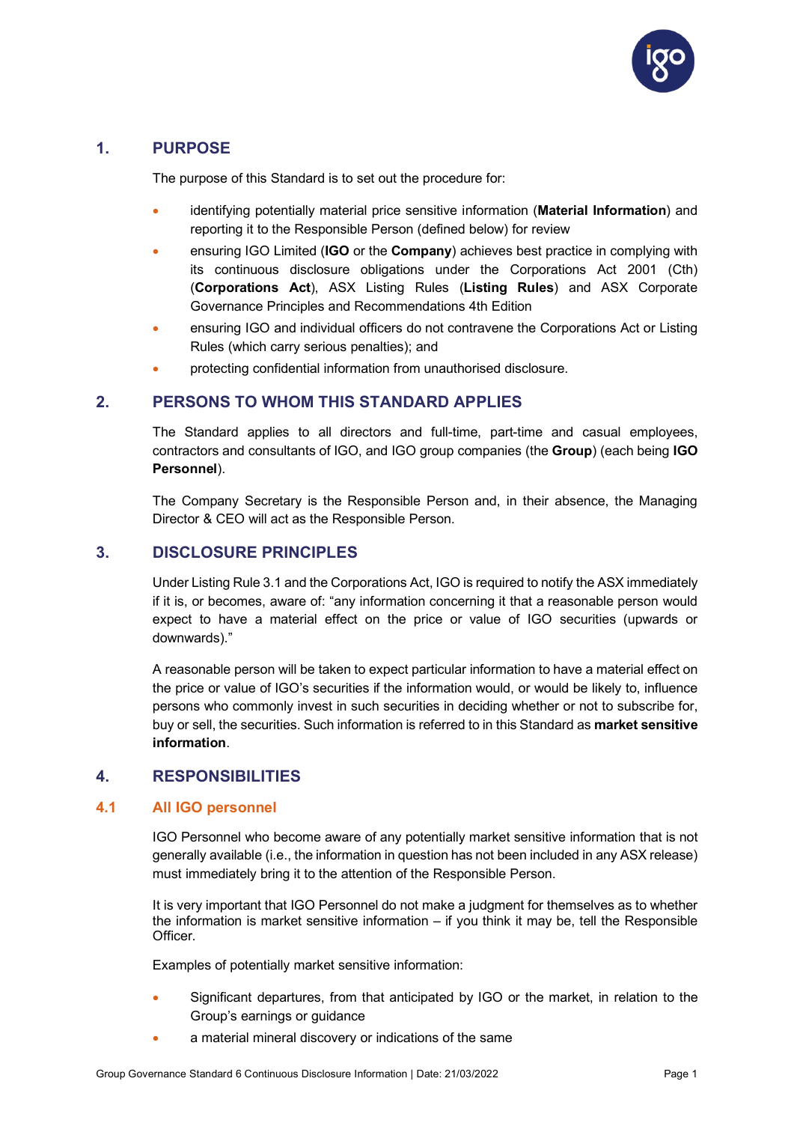

# <span id="page-2-0"></span>**1. PURPOSE**

The purpose of this Standard is to set out the procedure for:

- identifying potentially material price sensitive information (**Material Information**) and reporting it to the Responsible Person (defined below) for review
- ensuring IGO Limited (**IGO** or the **Company**) achieves best practice in complying with its continuous disclosure obligations under the Corporations Act 2001 (Cth) (**Corporations Act**), ASX Listing Rules (**Listing Rules**) and ASX Corporate Governance Principles and Recommendations 4th Edition
- ensuring IGO and individual officers do not contravene the Corporations Act or Listing Rules (which carry serious penalties); and
- protecting confidential information from unauthorised disclosure.

## <span id="page-2-1"></span>**2. PERSONS TO WHOM THIS STANDARD APPLIES**

The Standard applies to all directors and full-time, part-time and casual employees, contractors and consultants of IGO, and IGO group companies (the **Group**) (each being **IGO Personnel**).

The Company Secretary is the Responsible Person and, in their absence, the Managing Director & CEO will act as the Responsible Person.

## <span id="page-2-2"></span>**3. DISCLOSURE PRINCIPLES**

Under Listing Rule 3.1 and the Corporations Act, IGO is required to notify the ASX immediately if it is, or becomes, aware of: "any information concerning it that a reasonable person would expect to have a material effect on the price or value of IGO securities (upwards or downwards)."

A reasonable person will be taken to expect particular information to have a material effect on the price or value of IGO's securities if the information would, or would be likely to, influence persons who commonly invest in such securities in deciding whether or not to subscribe for, buy or sell, the securities. Such information is referred to in this Standard as **market sensitive information**.

## <span id="page-2-3"></span>**4. RESPONSIBILITIES**

#### <span id="page-2-4"></span>**4.1 All IGO personnel**

IGO Personnel who become aware of any potentially market sensitive information that is not generally available (i.e., the information in question has not been included in any ASX release) must immediately bring it to the attention of the Responsible Person.

It is very important that IGO Personnel do not make a judgment for themselves as to whether the information is market sensitive information – if you think it may be, tell the Responsible Officer.

Examples of potentially market sensitive information:

- Significant departures, from that anticipated by IGO or the market, in relation to the Group's earnings or guidance
- a material mineral discovery or indications of the same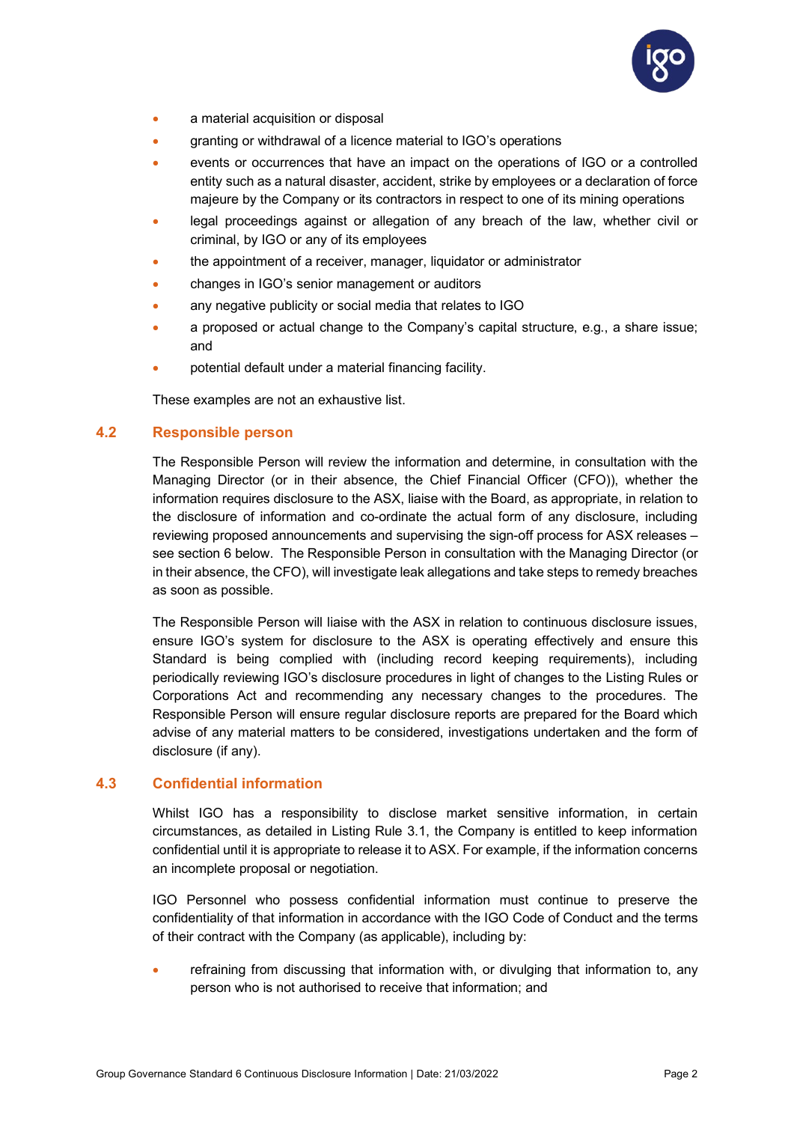

- a material acquisition or disposal
- granting or withdrawal of a licence material to IGO's operations
- events or occurrences that have an impact on the operations of IGO or a controlled entity such as a natural disaster, accident, strike by employees or a declaration of force majeure by the Company or its contractors in respect to one of its mining operations
- legal proceedings against or allegation of any breach of the law, whether civil or criminal, by IGO or any of its employees
- the appointment of a receiver, manager, liquidator or administrator
- changes in IGO's senior management or auditors
- any negative publicity or social media that relates to IGO
- a proposed or actual change to the Company's capital structure, e.g., a share issue; and
- potential default under a material financing facility.

These examples are not an exhaustive list.

#### <span id="page-3-0"></span>**4.2 Responsible person**

The Responsible Person will review the information and determine, in consultation with the Managing Director (or in their absence, the Chief Financial Officer (CFO)), whether the information requires disclosure to the ASX, liaise with the Board, as appropriate, in relation to the disclosure of information and co-ordinate the actual form of any disclosure, including reviewing proposed announcements and supervising the sign-off process for ASX releases – see section 6 below. The Responsible Person in consultation with the Managing Director (or in their absence, the CFO), will investigate leak allegations and take steps to remedy breaches as soon as possible.

The Responsible Person will liaise with the ASX in relation to continuous disclosure issues, ensure IGO's system for disclosure to the ASX is operating effectively and ensure this Standard is being complied with (including record keeping requirements), including periodically reviewing IGO's disclosure procedures in light of changes to the Listing Rules or Corporations Act and recommending any necessary changes to the procedures. The Responsible Person will ensure regular disclosure reports are prepared for the Board which advise of any material matters to be considered, investigations undertaken and the form of disclosure (if any).

#### <span id="page-3-1"></span>**4.3 Confidential information**

Whilst IGO has a responsibility to disclose market sensitive information, in certain circumstances, as detailed in Listing Rule 3.1, the Company is entitled to keep information confidential until it is appropriate to release it to ASX. For example, if the information concerns an incomplete proposal or negotiation.

IGO Personnel who possess confidential information must continue to preserve the confidentiality of that information in accordance with the IGO Code of Conduct and the terms of their contract with the Company (as applicable), including by:

refraining from discussing that information with, or divulging that information to, any person who is not authorised to receive that information; and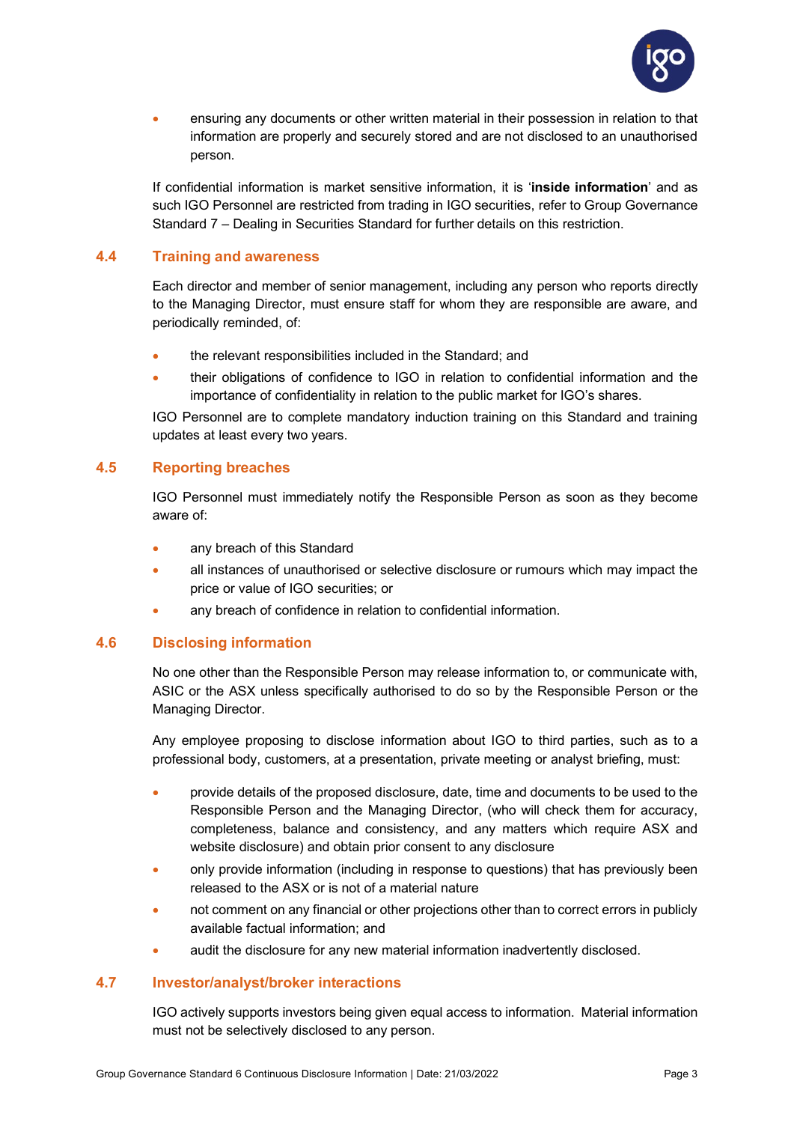

• ensuring any documents or other written material in their possession in relation to that information are properly and securely stored and are not disclosed to an unauthorised person.

If confidential information is market sensitive information, it is '**inside information**' and as such IGO Personnel are restricted from trading in IGO securities, refer to Group Governance Standard 7 – Dealing in Securities Standard for further details on this restriction.

#### <span id="page-4-0"></span>**4.4 Training and awareness**

Each director and member of senior management, including any person who reports directly to the Managing Director, must ensure staff for whom they are responsible are aware, and periodically reminded, of:

- the relevant responsibilities included in the Standard; and
- their obligations of confidence to IGO in relation to confidential information and the importance of confidentiality in relation to the public market for IGO's shares.

IGO Personnel are to complete mandatory induction training on this Standard and training updates at least every two years.

#### <span id="page-4-1"></span>**4.5 Reporting breaches**

IGO Personnel must immediately notify the Responsible Person as soon as they become aware of:

- any breach of this Standard
- all instances of unauthorised or selective disclosure or rumours which may impact the price or value of IGO securities; or
- any breach of confidence in relation to confidential information.

#### <span id="page-4-2"></span>**4.6 Disclosing information**

No one other than the Responsible Person may release information to, or communicate with, ASIC or the ASX unless specifically authorised to do so by the Responsible Person or the Managing Director.

Any employee proposing to disclose information about IGO to third parties, such as to a professional body, customers, at a presentation, private meeting or analyst briefing, must:

- provide details of the proposed disclosure, date, time and documents to be used to the Responsible Person and the Managing Director, (who will check them for accuracy, completeness, balance and consistency, and any matters which require ASX and website disclosure) and obtain prior consent to any disclosure
- only provide information (including in response to questions) that has previously been released to the ASX or is not of a material nature
- not comment on any financial or other projections other than to correct errors in publicly available factual information; and
- audit the disclosure for any new material information inadvertently disclosed.

#### <span id="page-4-3"></span>**4.7 Investor/analyst/broker interactions**

IGO actively supports investors being given equal access to information. Material information must not be selectively disclosed to any person.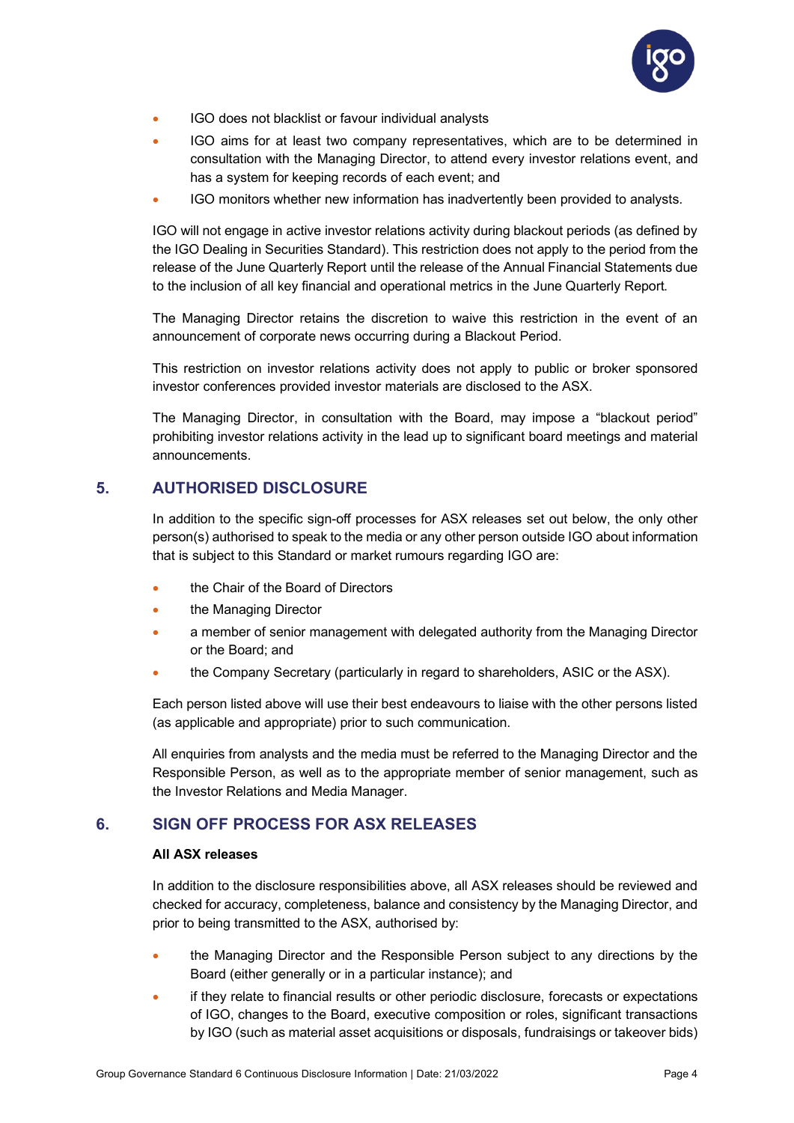

- IGO does not blacklist or favour individual analysts
- IGO aims for at least two company representatives, which are to be determined in consultation with the Managing Director, to attend every investor relations event, and has a system for keeping records of each event; and
- IGO monitors whether new information has inadvertently been provided to analysts.

IGO will not engage in active investor relations activity during blackout periods (as defined by the IGO Dealing in Securities Standard). This restriction does not apply to the period from the release of the June Quarterly Report until the release of the Annual Financial Statements due to the inclusion of all key financial and operational metrics in the June Quarterly Report.

The Managing Director retains the discretion to waive this restriction in the event of an announcement of corporate news occurring during a Blackout Period.

This restriction on investor relations activity does not apply to public or broker sponsored investor conferences provided investor materials are disclosed to the ASX.

The Managing Director, in consultation with the Board, may impose a "blackout period" prohibiting investor relations activity in the lead up to significant board meetings and material announcements.

# <span id="page-5-0"></span>**5. AUTHORISED DISCLOSURE**

In addition to the specific sign-off processes for ASX releases set out below, the only other person(s) authorised to speak to the media or any other person outside IGO about information that is subject to this Standard or market rumours regarding IGO are:

- the Chair of the Board of Directors
- the Managing Director
- a member of senior management with delegated authority from the Managing Director or the Board; and
- the Company Secretary (particularly in regard to shareholders, ASIC or the ASX).

Each person listed above will use their best endeavours to liaise with the other persons listed (as applicable and appropriate) prior to such communication.

All enquiries from analysts and the media must be referred to the Managing Director and the Responsible Person, as well as to the appropriate member of senior management, such as the Investor Relations and Media Manager.

# <span id="page-5-1"></span>**6. SIGN OFF PROCESS FOR ASX RELEASES**

#### **All ASX releases**

In addition to the disclosure responsibilities above, all ASX releases should be reviewed and checked for accuracy, completeness, balance and consistency by the Managing Director, and prior to being transmitted to the ASX, authorised by:

- the Managing Director and the Responsible Person subject to any directions by the Board (either generally or in a particular instance); and
- if they relate to financial results or other periodic disclosure, forecasts or expectations of IGO, changes to the Board, executive composition or roles, significant transactions by IGO (such as material asset acquisitions or disposals, fundraisings or takeover bids)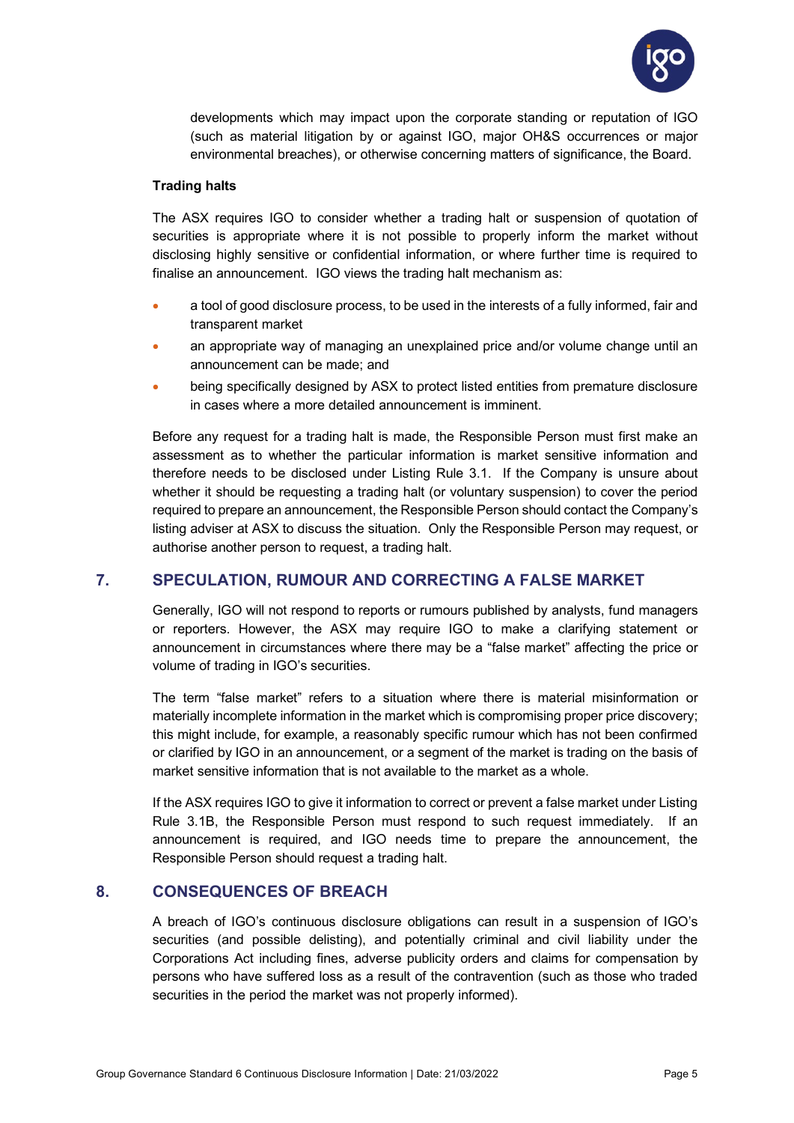

developments which may impact upon the corporate standing or reputation of IGO (such as material litigation by or against IGO, major OH&S occurrences or major environmental breaches), or otherwise concerning matters of significance, the Board.

#### **Trading halts**

The ASX requires IGO to consider whether a trading halt or suspension of quotation of securities is appropriate where it is not possible to properly inform the market without disclosing highly sensitive or confidential information, or where further time is required to finalise an announcement. IGO views the trading halt mechanism as:

- a tool of good disclosure process, to be used in the interests of a fully informed, fair and transparent market
- an appropriate way of managing an unexplained price and/or volume change until an announcement can be made; and
- being specifically designed by ASX to protect listed entities from premature disclosure in cases where a more detailed announcement is imminent.

Before any request for a trading halt is made, the Responsible Person must first make an assessment as to whether the particular information is market sensitive information and therefore needs to be disclosed under Listing Rule 3.1. If the Company is unsure about whether it should be requesting a trading halt (or voluntary suspension) to cover the period required to prepare an announcement, the Responsible Person should contact the Company's listing adviser at ASX to discuss the situation. Only the Responsible Person may request, or authorise another person to request, a trading halt.

# <span id="page-6-0"></span>**7. SPECULATION, RUMOUR AND CORRECTING A FALSE MARKET**

Generally, IGO will not respond to reports or rumours published by analysts, fund managers or reporters. However, the ASX may require IGO to make a clarifying statement or announcement in circumstances where there may be a "false market" affecting the price or volume of trading in IGO's securities.

The term "false market" refers to a situation where there is material misinformation or materially incomplete information in the market which is compromising proper price discovery; this might include, for example, a reasonably specific rumour which has not been confirmed or clarified by IGO in an announcement, or a segment of the market is trading on the basis of market sensitive information that is not available to the market as a whole.

If the ASX requires IGO to give it information to correct or prevent a false market under Listing Rule 3.1B, the Responsible Person must respond to such request immediately. If an announcement is required, and IGO needs time to prepare the announcement, the Responsible Person should request a trading halt.

## <span id="page-6-1"></span>**8. CONSEQUENCES OF BREACH**

A breach of IGO's continuous disclosure obligations can result in a suspension of IGO's securities (and possible delisting), and potentially criminal and civil liability under the Corporations Act including fines, adverse publicity orders and claims for compensation by persons who have suffered loss as a result of the contravention (such as those who traded securities in the period the market was not properly informed).